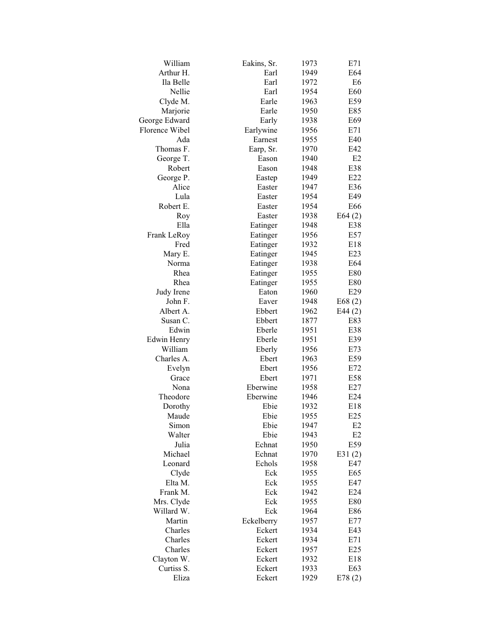| William                  | Eakins, Sr. | 1973 | E71              |
|--------------------------|-------------|------|------------------|
| Arthur H.                | Earl        | 1949 | E64              |
| Ila Belle                | Earl        | 1972 | E6               |
| Nellie                   | Earl        | 1954 | E60              |
| Clyde M.                 | Earle       | 1963 | E59              |
| Marjorie                 | Earle       | 1950 | E85              |
| George Edward            | Early       | 1938 | E69              |
| Florence Wibel           | Earlywine   | 1956 | E71              |
| Ada                      | Earnest     | 1955 | E40              |
| Thomas F.                | Earp, Sr.   | 1970 | E42              |
| George T.                | Eason       | 1940 | E2               |
| Robert                   | Eason       | 1948 | E38              |
| George P.                | Eastep      | 1949 | E22              |
| Alice                    | Easter      | 1947 | E36              |
| Lula                     | Easter      | 1954 | E49              |
| Robert E.                | Easter      | 1954 | E66              |
| Roy                      | Easter      | 1938 | E64(2)           |
| Ella                     | Eatinger    | 1948 | E38              |
| Frank LeRoy              | Eatinger    | 1956 | E57              |
| Fred                     | Eatinger    | 1932 | E18              |
| Mary E.                  | Eatinger    | 1945 | E23              |
| Norma                    | Eatinger    | 1938 | E64              |
| Rhea                     | Eatinger    | 1955 | E80              |
| Rhea                     | Eatinger    | 1955 | E80              |
| Judy Irene               | Eaton       | 1960 | E29              |
| John F.                  | Eaver       | 1948 | E68(2)           |
| Albert A.                | Ebbert      | 1962 | E44 $(2)$        |
| Susan C.                 | Ebbert      | 1877 | E83              |
| Edwin                    | Eberle      | 1951 | E38              |
| Edwin Henry              | Eberle      | 1951 | E39              |
| William                  | Eberly      | 1956 | E73              |
| Charles A.               | Ebert       | 1963 | E59              |
| Evelyn                   | Ebert       | 1956 | E72              |
| Grace                    | Ebert       | 1971 | E58              |
| Nona                     | Eberwine    | 1958 | E27              |
| Theodore                 | Eberwine    | 1946 | E24              |
| Dorothy                  | Ebie        | 1932 | E18              |
| Maude                    | Ebie        | 1955 | E25              |
| Simon                    | Ebie        | 1947 | E2               |
| Walter                   | Ebie        | 1943 | E <sub>2</sub>   |
| Julia                    | Echnat      | 1950 | E59              |
| Michael                  | Echnat      | 1970 |                  |
| Leonard                  | Echols      | 1958 | E31 $(2)$<br>E47 |
|                          | Eck         | 1955 | E65              |
| Clyde<br>Elta M.         | Eck         | 1955 | E47              |
| Frank M.                 | Eck         |      |                  |
|                          |             | 1942 | E24              |
| Mrs. Clyde<br>Willard W. | Eck         | 1955 | E80              |
|                          | Eck         | 1964 | E86              |
| Martin                   | Eckelberry  | 1957 | E77              |
| Charles                  | Eckert      | 1934 | E43              |
| Charles                  | Eckert      | 1934 | E71              |
| Charles                  | Eckert      | 1957 | E25              |
| Clayton W.               | Eckert      | 1932 | E18              |
| Curtiss S.               | Eckert      | 1933 | E63              |
| Eliza                    | Eckert      | 1929 | E78(2)           |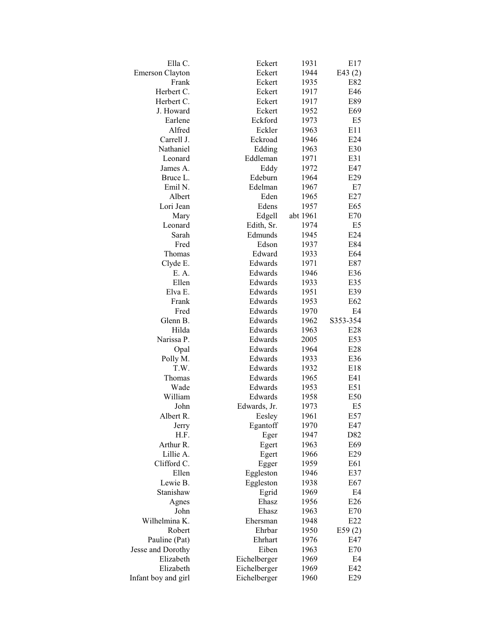| Ella C.                | Eckert       | 1931     | E17            |
|------------------------|--------------|----------|----------------|
| <b>Emerson Clayton</b> | Eckert       | 1944     | E43 $(2)$      |
| Frank                  | Eckert       | 1935     | E82            |
| Herbert C.             | Eckert       | 1917     | E46            |
| Herbert C.             | Eckert       | 1917     | E89            |
| J. Howard              | Eckert       | 1952     | E69            |
| Earlene                | Eckford      | 1973     | E5             |
| Alfred                 | Eckler       | 1963     | E11            |
| Carrell J.             | Eckroad      | 1946     | E24            |
| Nathaniel              | Edding       | 1963     | E30            |
| Leonard                | Eddleman     | 1971     | E31            |
| James A.               | Eddy         | 1972     | E47            |
| Bruce L.               | Edeburn      | 1964     | E29            |
| Emil N.                | Edelman      | 1967     | E7             |
| Albert                 | Eden         | 1965     | E27            |
| Lori Jean              | Edens        | 1957     | E65            |
| Mary                   | Edgell       | abt 1961 | E70            |
| Leonard                | Edith, Sr.   | 1974     | E5             |
| Sarah                  | Edmunds      | 1945     | E24            |
| Fred                   | Edson        | 1937     | E84            |
| Thomas                 | Edward       | 1933     | E64            |
| Clyde E.               | Edwards      | 1971     | E87            |
| E. A.                  | Edwards      | 1946     | E36            |
| Ellen                  |              |          |                |
|                        | Edwards      | 1933     | E35            |
| Elva E.                | Edwards      | 1951     | E39            |
| Frank                  | Edwards      | 1953     | E62            |
| Fred                   | Edwards      | 1970     | E4             |
| Glenn B.               | Edwards      | 1962     | S353-354       |
| Hilda                  | Edwards      | 1963     | E28            |
| Narissa P.             | Edwards      | 2005     | E53            |
| Opal                   | Edwards      | 1964     | E28            |
| Polly M.               | Edwards      | 1933     | E36            |
| T.W.                   | Edwards      | 1932     | E18            |
| Thomas                 | Edwards      | 1965     | E41            |
| Wade                   | Edwards      | 1953     | E51            |
| William                | Edwards      | 1958     | E50            |
| John                   | Edwards, Jr. | 1973     | E5             |
| Albert R.              | Eesley       | 1961     | E57            |
| Jerry                  | Egantoff     | 1970     | E47            |
| H.F.                   | Eger         | 1947     | D82            |
| Arthur R.              | Egert        | 1963     | E69            |
| Lillie A.              | Egert        | 1966     | E29            |
| Clifford C.            | Egger        | 1959     | E61            |
| Ellen                  | Eggleston    | 1946     | E37            |
| Lewie B.               | Eggleston    | 1938     | E67            |
| Stanishaw              | Egrid        | 1969     | E <sub>4</sub> |
| Agnes                  | Ehasz        | 1956     | E26            |
| John                   | Ehasz        | 1963     | E70            |
| Wilhelmina K.          | Ehersman     | 1948     | E22            |
| Robert                 | Ehrbar       | 1950     | E59(2)         |
| Pauline (Pat)          | Ehrhart      | 1976     | E47            |
| Jesse and Dorothy      | Eiben        | 1963     | E70            |
| Elizabeth              | Eichelberger | 1969     | E4             |
| Elizabeth              | Eichelberger | 1969     | E42            |
| Infant boy and girl    | Eichelberger | 1960     | E29            |
|                        |              |          |                |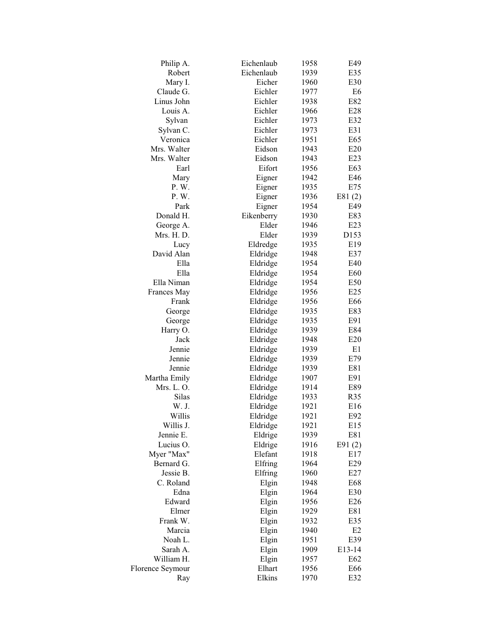| Philip A.        | Eichenlaub | 1958 | E49    |
|------------------|------------|------|--------|
| Robert           | Eichenlaub | 1939 | E35    |
| Mary I.          | Eicher     | 1960 | E30    |
| Claude G.        | Eichler    | 1977 | E6     |
| Linus John       | Eichler    | 1938 | E82    |
| Louis A.         | Eichler    | 1966 | E28    |
| Sylvan           | Eichler    | 1973 | E32    |
| Sylvan C.        | Eichler    | 1973 | E31    |
| Veronica         | Eichler    | 1951 | E65    |
| Mrs. Walter      | Eidson     | 1943 | E20    |
| Mrs. Walter      | Eidson     | 1943 | E23    |
| Earl             | Eifort     | 1956 | E63    |
| Mary             | Eigner     | 1942 | E46    |
| P.W.             | Eigner     | 1935 | E75    |
| P.W.             | Eigner     | 1936 | E81(2) |
| Park             | Eigner     | 1954 | E49    |
| Donald H.        | Eikenberry | 1930 | E83    |
| George A.        | Elder      | 1946 | E23    |
| Mrs. H.D.        | Elder      | 1939 | D153   |
| Lucy             | Eldredge   | 1935 | E19    |
| David Alan       | Eldridge   | 1948 | E37    |
| Ella             | Eldridge   | 1954 | E40    |
| Ella             | Eldridge   | 1954 | E60    |
| Ella Niman       | Eldridge   | 1954 | E50    |
| Frances May      | Eldridge   | 1956 | E25    |
| Frank            | Eldridge   | 1956 | E66    |
| George           | Eldridge   | 1935 | E83    |
| George           | Eldridge   | 1935 | E91    |
| Harry O.         | Eldridge   | 1939 | E84    |
| Jack             | Eldridge   | 1948 | E20    |
| Jennie           | Eldridge   | 1939 | E1     |
| Jennie           | Eldridge   | 1939 | E79    |
| Jennie           | Eldridge   | 1939 | E81    |
| Martha Emily     | Eldridge   | 1907 | E91    |
| Mrs. L. O.       | Eldridge   | 1914 | E89    |
| Silas            | Eldridge   | 1933 | R35    |
| W. J.            | Eldridge   | 1921 | E16    |
| Willis           | Eldridge   | 1921 | E92    |
| Willis J.        | Eldridge   | 1921 | E15    |
| Jennie E.        | Eldrige    | 1939 | E81    |
| Lucius O.        | Eldrige    | 1916 | E91(2) |
| Myer "Max"       | Elefant    | 1918 | E17    |
| Bernard G.       | Elfring    | 1964 | E29    |
| Jessie B.        | Elfring    | 1960 | E27    |
| C. Roland        | Elgin      | 1948 | E68    |
| Edna             | Elgin      | 1964 | E30    |
| Edward           | Elgin      | 1956 | E26    |
| Elmer            | Elgin      | 1929 | E81    |
| Frank W.         | Elgin      | 1932 | E35    |
| Marcia           | Elgin      | 1940 | E2     |
| Noah L.          | Elgin      | 1951 | E39    |
| Sarah A.         | Elgin      | 1909 | E13-14 |
| William H.       | Elgin      | 1957 | E62    |
| Florence Seymour | Elhart     | 1956 | E66    |
| Ray              | Elkins     | 1970 | E32    |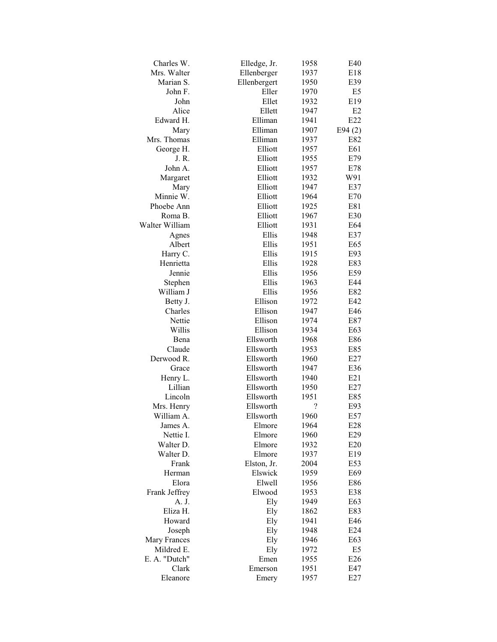| Charles W.          | Elledge, Jr.           | 1958      | E40    |
|---------------------|------------------------|-----------|--------|
| Mrs. Walter         | Ellenberger            | 1937      | E18    |
| Marian S.           | Ellenbergert           | 1950      | E39    |
| John F.             | Eller                  | 1970      | E5     |
| John                | Ellet                  | 1932      | E19    |
| Alice               | Ellett                 | 1947      | E2     |
| Edward H.           | Elliman                | 1941      | E22    |
| Mary                | Elliman                | 1907      | E94(2) |
| Mrs. Thomas         | Elliman                | 1937      | E82    |
| George H.           | Elliott                | 1957      | E61    |
| J. R.               | Elliott                | 1955      | E79    |
| John A.             | Elliott                | 1957      | E78    |
| Margaret            | Elliott                | 1932      | W91    |
| Mary                | Elliott                | 1947      | E37    |
| Minnie W.           | Elliott                | 1964      | E70    |
| Phoebe Ann          | Elliott                | 1925      | E81    |
| Roma B.             | Elliott                | 1967      | E30    |
| Walter William      | Elliott                | 1931      | E64    |
| Agnes               | Ellis                  | 1948      | E37    |
| Albert              | Ellis                  | 1951      | E65    |
| Harry C.            | Ellis                  | 1915      | E93    |
| Henrietta           | Ellis                  | 1928      | E83    |
| Jennie              | Ellis                  | 1956      | E59    |
| Stephen             | Ellis                  | 1963      | E44    |
| William J           | Ellis                  | 1956      | E82    |
| Betty J.            | Ellison                | 1972      | E42    |
| Charles             | Ellison                | 1947      | E46    |
| Nettie              | Ellison                | 1974      | E87    |
| Willis              | Ellison                | 1934      | E63    |
| Bena                | Ellsworth              | 1968      | E86    |
| Claude              | Ellsworth              | 1953      | E85    |
| Derwood R.          | Ellsworth              | 1960      | E27    |
|                     |                        | 1947      |        |
| Grace               | Ellsworth<br>Ellsworth |           | E36    |
| Henry L.<br>Lillian | Ellsworth              | 1940      | E21    |
|                     |                        | 1950      | E27    |
| Lincoln             | Ellsworth              | 1951      | E85    |
| Mrs. Henry          | Ellsworth              | ?<br>1960 | E93    |
| William A.          | Ellsworth              |           | E57    |
| James A.            | Elmore                 | 1964      | E28    |
| Nettie I.           | Elmore                 | 1960      | E29    |
| Walter D.           | Elmore                 | 1932      | E20    |
| Walter D.           | Elmore                 | 1937      | E19    |
| Frank               | Elston, Jr.            | 2004      | E53    |
| Herman              | Elswick                | 1959      | E69    |
| Elora               | Elwell                 | 1956      | E86    |
| Frank Jeffrey       | Elwood                 | 1953      | E38    |
| A. J.               | Ely                    | 1949      | E63    |
| Eliza H.            | Ely                    | 1862      | E83    |
| Howard              | Ely                    | 1941      | E46    |
| Joseph              | Ely                    | 1948      | E24    |
| Mary Frances        | Ely                    | 1946      | E63    |
| Mildred E.          | Ely                    | 1972      | E5     |
| E. A. "Dutch"       | Emen                   | 1955      | E26    |
| Clark               | Emerson                | 1951      | E47    |
| Eleanore            | Emery                  | 1957      | E27    |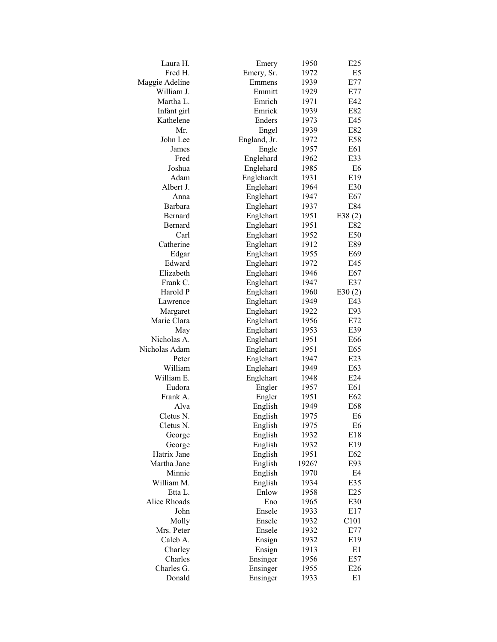| Laura H.       | Emery        | 1950  | E <sub>25</sub> |
|----------------|--------------|-------|-----------------|
| Fred H.        | Emery, Sr.   | 1972  | E <sub>5</sub>  |
| Maggie Adeline | Emmens       | 1939  | E77             |
| William J.     | Emmitt       | 1929  | E77             |
| Martha L.      | Emrich       | 1971  | E42             |
| Infant girl    | Emrick       | 1939  | E82             |
| Kathelene      | Enders       | 1973  | E45             |
| Mr.            | Engel        | 1939  | E82             |
| John Lee       | England, Jr. | 1972  | E58             |
| James          | Engle        | 1957  | E61             |
| Fred           | Englehard    | 1962  | E33             |
| Joshua         | Englehard    | 1985  | E6              |
| Adam           | Englehardt   | 1931  | E19             |
| Albert J.      | Englehart    | 1964  | E30             |
| Anna           | Englehart    | 1947  | E67             |
| Barbara        | Englehart    | 1937  | E84             |
| Bernard        | Englehart    | 1951  | E38 $(2)$       |
| Bernard        | Englehart    | 1951  | E82             |
| Carl           |              | 1952  | E50             |
| Catherine      | Englehart    |       |                 |
|                | Englehart    | 1912  | E89             |
| Edgar          | Englehart    | 1955  | E69             |
| Edward         | Englehart    | 1972  | E45             |
| Elizabeth      | Englehart    | 1946  | E67             |
| Frank C.       | Englehart    | 1947  | E37             |
| Harold P       | Englehart    | 1960  | E30(2)          |
| Lawrence       | Englehart    | 1949  | E43             |
| Margaret       | Englehart    | 1922  | E93             |
| Marie Clara    | Englehart    | 1956  | E72             |
| May            | Englehart    | 1953  | E39             |
| Nicholas A.    | Englehart    | 1951  | E66             |
| Nicholas Adam  | Englehart    | 1951  | E65             |
| Peter          | Englehart    | 1947  | E23             |
| William        | Englehart    | 1949  | E <sub>63</sub> |
| William E.     | Englehart    | 1948  | E24             |
| Eudora         | Engler       | 1957  | E61             |
| Frank A.       | Engler       | 1951  | E62             |
| Alva           | English      | 1949  | E68             |
| Cletus N.      | English      | 1975  | E <sub>6</sub>  |
| Cletus N.      | English      | 1975  | E <sub>6</sub>  |
| George         | English      | 1932  | E18             |
| George         | English      | 1932  | E19             |
| Hatrix Jane    | English      | 1951  | E62             |
| Martha Jane    | English      | 1926? | E93             |
| Minnie         | English      | 1970  | E4              |
| William M.     | English      | 1934  | E35             |
| Etta L.        | Enlow        | 1958  | E25             |
| Alice Rhoads   | Eno          | 1965  | E30             |
| John           | Ensele       | 1933  | E17             |
| Molly          | Ensele       | 1932  | C101            |
| Mrs. Peter     | Ensele       | 1932  | E77             |
| Caleb A.       | Ensign       | 1932  | E19             |
| Charley        | Ensign       | 1913  | E1              |
| Charles        | Ensinger     | 1956  | E57             |
| Charles G.     | Ensinger     | 1955  | E26             |
| Donald         |              |       |                 |
|                | Ensinger     | 1933  | E1              |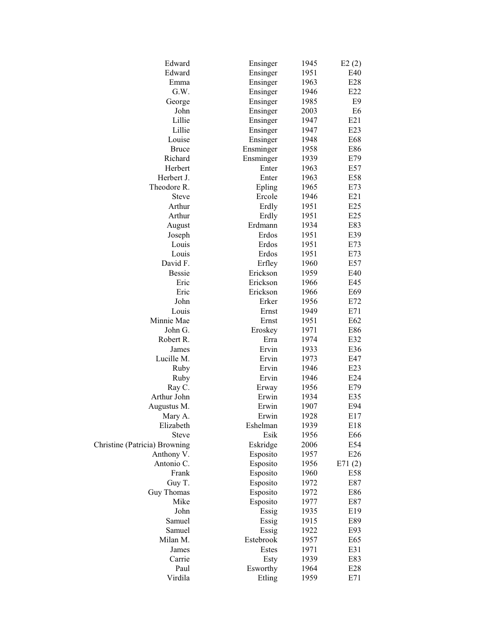| Edward                        | Ensinger  | 1945 | E2(2)          |
|-------------------------------|-----------|------|----------------|
| Edward                        | Ensinger  | 1951 | E40            |
| Emma                          | Ensinger  | 1963 | E28            |
| G.W.                          | Ensinger  | 1946 | E22            |
| George                        | Ensinger  | 1985 | E <sub>9</sub> |
| John                          | Ensinger  | 2003 | E <sub>6</sub> |
| Lillie                        | Ensinger  | 1947 | E21            |
| Lillie                        | Ensinger  | 1947 | E23            |
| Louise                        | Ensinger  | 1948 | E68            |
| <b>Bruce</b>                  | Ensminger | 1958 | E86            |
| Richard                       | Ensminger | 1939 | E79            |
| Herbert                       | Enter     | 1963 | E57            |
| Herbert J.                    | Enter     | 1963 | E58            |
| Theodore R.                   | Epling    | 1965 | E73            |
| <b>Steve</b>                  | Ercole    | 1946 | E21            |
|                               |           |      |                |
| Arthur                        | Erdly     | 1951 | E25            |
| Arthur                        | Erdly     | 1951 | E25            |
| August                        | Erdmann   | 1934 | E83            |
| Joseph                        | Erdos     | 1951 | E39            |
| Louis                         | Erdos     | 1951 | E73            |
| Louis                         | Erdos     | 1951 | E73            |
| David F.                      | Erfley    | 1960 | E57            |
| <b>Bessie</b>                 | Erickson  | 1959 | E40            |
| Eric                          | Erickson  | 1966 | E45            |
| Eric                          | Erickson  | 1966 | E69            |
| John                          | Erker     | 1956 | E72            |
| Louis                         | Ernst     | 1949 | E71            |
| Minnie Mae                    | Ernst     | 1951 | E62            |
| John G.                       | Eroskey   | 1971 | E86            |
| Robert R.                     | Erra      | 1974 | E32            |
| James                         | Ervin     | 1933 | E36            |
| Lucille M.                    | Ervin     | 1973 | E47            |
| Ruby                          | Ervin     | 1946 | E23            |
| Ruby                          | Ervin     | 1946 | E24            |
| Ray C.                        | Erway     | 1956 | E79            |
| Arthur John                   | Erwin     | 1934 | E35            |
| Augustus M.                   | Erwin     | 1907 | E94            |
| Mary A.                       | Erwin     | 1928 | E17            |
| Elizabeth                     | Eshelman  | 1939 | E18            |
| Steve                         | Esik      | 1956 | E66            |
| Christine (Patricia) Browning | Eskridge  | 2006 | E54            |
| Anthony V.                    | Esposito  | 1957 | E26            |
| Antonio C.                    | Esposito  | 1956 | E71(2)         |
| Frank                         | Esposito  | 1960 | E58            |
| Guy T.                        | Esposito  | 1972 | E87            |
| Guy Thomas                    | Esposito  | 1972 | E86            |
| Mike                          | Esposito  | 1977 | E87            |
| John                          | Essig     | 1935 | E19            |
| Samuel                        | Essig     | 1915 | E89            |
| Samuel                        | Essig     | 1922 | E93            |
| Milan M.                      | Estebrook | 1957 | E65            |
| James                         | Estes     | 1971 | E31            |
| Carrie                        | Esty      | 1939 | E83            |
| Paul                          | Esworthy  | 1964 | E28            |
| Virdila                       | Etling    | 1959 | E71            |
|                               |           |      |                |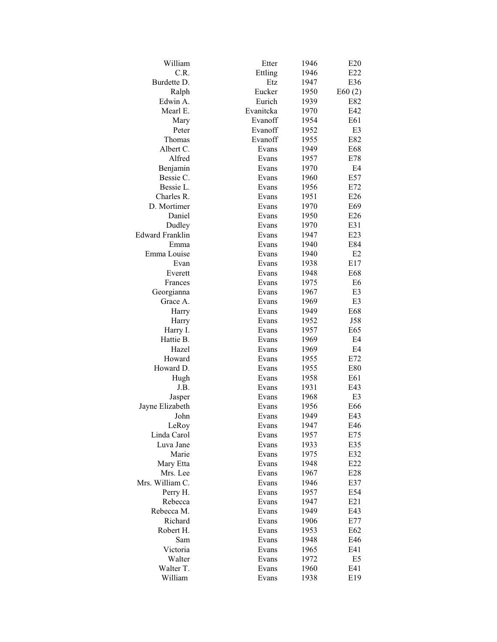| William<br>C.R.<br>Ettling<br>1946<br>E22<br>Burdette D.<br>Etz<br>1947<br>E36<br>Eucker<br>1950<br>E60(2)<br>Ralph<br>Eurich<br>Edwin A.<br>1939<br>E82<br>Mearl E.<br>Evanitcka<br>1970<br>E42<br>Mary<br>Evanoff<br>1954<br>E61<br>Peter<br>Evanoff<br>1952<br>E3<br>Thomas<br>Evanoff<br>1955<br>E82<br>Albert C.<br>Evans<br>1949<br>E68<br>Alfred<br>1957<br>E78<br>Evans<br>Benjamin<br>Evans<br>1970<br>E4<br>Bessie C.<br>1960<br>E57<br>Evans<br>Bessie L.<br>Evans<br>1956<br>E72<br>Charles R.<br>1951<br>E26<br>Evans<br>D. Mortimer<br>1970<br>E69<br>Evans<br>Daniel<br>Evans<br>1950<br>E26<br>Dudley<br>1970<br>E31<br>Evans<br><b>Edward Franklin</b><br>1947<br>E23<br>Evans<br>1940<br>E84<br>Emma<br>Evans<br>Emma Louise<br>1940<br>E2<br>Evans<br>E17<br>1938<br>Evan<br>Evans<br>1948<br>E68<br>Everett<br>Evans<br>Evans<br>1975<br>E6<br>Frances<br>Georgianna<br>Evans<br>1967<br>E3<br>E3<br>Grace A.<br>Evans<br>1969<br>E68<br>1949<br>Harry<br>Evans<br>Evans<br>1952<br>J58<br>Harry<br>Harry I.<br>Evans<br>1957<br>E65<br>Hattie B.<br>1969<br>E4<br>Evans<br>Hazel<br>Evans<br>1969<br>E4<br>Howard<br>Evans<br>1955<br>E72<br>Howard D.<br>1955<br>E80<br>Evans<br>1958<br>E61<br>Hugh<br>Evans<br>J.B.<br>Evans<br>1931<br>E43<br>Evans<br>1968<br>E3<br>Jasper<br>Jayne Elizabeth<br>Evans<br>1956<br>E66<br>John<br>1949<br>E43<br>Evans |
|---------------------------------------------------------------------------------------------------------------------------------------------------------------------------------------------------------------------------------------------------------------------------------------------------------------------------------------------------------------------------------------------------------------------------------------------------------------------------------------------------------------------------------------------------------------------------------------------------------------------------------------------------------------------------------------------------------------------------------------------------------------------------------------------------------------------------------------------------------------------------------------------------------------------------------------------------------------------------------------------------------------------------------------------------------------------------------------------------------------------------------------------------------------------------------------------------------------------------------------------------------------------------------------------------------------------------------------------------------------------------------|
|                                                                                                                                                                                                                                                                                                                                                                                                                                                                                                                                                                                                                                                                                                                                                                                                                                                                                                                                                                                                                                                                                                                                                                                                                                                                                                                                                                                 |
|                                                                                                                                                                                                                                                                                                                                                                                                                                                                                                                                                                                                                                                                                                                                                                                                                                                                                                                                                                                                                                                                                                                                                                                                                                                                                                                                                                                 |
|                                                                                                                                                                                                                                                                                                                                                                                                                                                                                                                                                                                                                                                                                                                                                                                                                                                                                                                                                                                                                                                                                                                                                                                                                                                                                                                                                                                 |
|                                                                                                                                                                                                                                                                                                                                                                                                                                                                                                                                                                                                                                                                                                                                                                                                                                                                                                                                                                                                                                                                                                                                                                                                                                                                                                                                                                                 |
|                                                                                                                                                                                                                                                                                                                                                                                                                                                                                                                                                                                                                                                                                                                                                                                                                                                                                                                                                                                                                                                                                                                                                                                                                                                                                                                                                                                 |
|                                                                                                                                                                                                                                                                                                                                                                                                                                                                                                                                                                                                                                                                                                                                                                                                                                                                                                                                                                                                                                                                                                                                                                                                                                                                                                                                                                                 |
|                                                                                                                                                                                                                                                                                                                                                                                                                                                                                                                                                                                                                                                                                                                                                                                                                                                                                                                                                                                                                                                                                                                                                                                                                                                                                                                                                                                 |
|                                                                                                                                                                                                                                                                                                                                                                                                                                                                                                                                                                                                                                                                                                                                                                                                                                                                                                                                                                                                                                                                                                                                                                                                                                                                                                                                                                                 |
|                                                                                                                                                                                                                                                                                                                                                                                                                                                                                                                                                                                                                                                                                                                                                                                                                                                                                                                                                                                                                                                                                                                                                                                                                                                                                                                                                                                 |
|                                                                                                                                                                                                                                                                                                                                                                                                                                                                                                                                                                                                                                                                                                                                                                                                                                                                                                                                                                                                                                                                                                                                                                                                                                                                                                                                                                                 |
|                                                                                                                                                                                                                                                                                                                                                                                                                                                                                                                                                                                                                                                                                                                                                                                                                                                                                                                                                                                                                                                                                                                                                                                                                                                                                                                                                                                 |
|                                                                                                                                                                                                                                                                                                                                                                                                                                                                                                                                                                                                                                                                                                                                                                                                                                                                                                                                                                                                                                                                                                                                                                                                                                                                                                                                                                                 |
|                                                                                                                                                                                                                                                                                                                                                                                                                                                                                                                                                                                                                                                                                                                                                                                                                                                                                                                                                                                                                                                                                                                                                                                                                                                                                                                                                                                 |
|                                                                                                                                                                                                                                                                                                                                                                                                                                                                                                                                                                                                                                                                                                                                                                                                                                                                                                                                                                                                                                                                                                                                                                                                                                                                                                                                                                                 |
|                                                                                                                                                                                                                                                                                                                                                                                                                                                                                                                                                                                                                                                                                                                                                                                                                                                                                                                                                                                                                                                                                                                                                                                                                                                                                                                                                                                 |
|                                                                                                                                                                                                                                                                                                                                                                                                                                                                                                                                                                                                                                                                                                                                                                                                                                                                                                                                                                                                                                                                                                                                                                                                                                                                                                                                                                                 |
|                                                                                                                                                                                                                                                                                                                                                                                                                                                                                                                                                                                                                                                                                                                                                                                                                                                                                                                                                                                                                                                                                                                                                                                                                                                                                                                                                                                 |
|                                                                                                                                                                                                                                                                                                                                                                                                                                                                                                                                                                                                                                                                                                                                                                                                                                                                                                                                                                                                                                                                                                                                                                                                                                                                                                                                                                                 |
|                                                                                                                                                                                                                                                                                                                                                                                                                                                                                                                                                                                                                                                                                                                                                                                                                                                                                                                                                                                                                                                                                                                                                                                                                                                                                                                                                                                 |
|                                                                                                                                                                                                                                                                                                                                                                                                                                                                                                                                                                                                                                                                                                                                                                                                                                                                                                                                                                                                                                                                                                                                                                                                                                                                                                                                                                                 |
|                                                                                                                                                                                                                                                                                                                                                                                                                                                                                                                                                                                                                                                                                                                                                                                                                                                                                                                                                                                                                                                                                                                                                                                                                                                                                                                                                                                 |
|                                                                                                                                                                                                                                                                                                                                                                                                                                                                                                                                                                                                                                                                                                                                                                                                                                                                                                                                                                                                                                                                                                                                                                                                                                                                                                                                                                                 |
|                                                                                                                                                                                                                                                                                                                                                                                                                                                                                                                                                                                                                                                                                                                                                                                                                                                                                                                                                                                                                                                                                                                                                                                                                                                                                                                                                                                 |
|                                                                                                                                                                                                                                                                                                                                                                                                                                                                                                                                                                                                                                                                                                                                                                                                                                                                                                                                                                                                                                                                                                                                                                                                                                                                                                                                                                                 |
|                                                                                                                                                                                                                                                                                                                                                                                                                                                                                                                                                                                                                                                                                                                                                                                                                                                                                                                                                                                                                                                                                                                                                                                                                                                                                                                                                                                 |
|                                                                                                                                                                                                                                                                                                                                                                                                                                                                                                                                                                                                                                                                                                                                                                                                                                                                                                                                                                                                                                                                                                                                                                                                                                                                                                                                                                                 |
|                                                                                                                                                                                                                                                                                                                                                                                                                                                                                                                                                                                                                                                                                                                                                                                                                                                                                                                                                                                                                                                                                                                                                                                                                                                                                                                                                                                 |
|                                                                                                                                                                                                                                                                                                                                                                                                                                                                                                                                                                                                                                                                                                                                                                                                                                                                                                                                                                                                                                                                                                                                                                                                                                                                                                                                                                                 |
|                                                                                                                                                                                                                                                                                                                                                                                                                                                                                                                                                                                                                                                                                                                                                                                                                                                                                                                                                                                                                                                                                                                                                                                                                                                                                                                                                                                 |
|                                                                                                                                                                                                                                                                                                                                                                                                                                                                                                                                                                                                                                                                                                                                                                                                                                                                                                                                                                                                                                                                                                                                                                                                                                                                                                                                                                                 |
|                                                                                                                                                                                                                                                                                                                                                                                                                                                                                                                                                                                                                                                                                                                                                                                                                                                                                                                                                                                                                                                                                                                                                                                                                                                                                                                                                                                 |
|                                                                                                                                                                                                                                                                                                                                                                                                                                                                                                                                                                                                                                                                                                                                                                                                                                                                                                                                                                                                                                                                                                                                                                                                                                                                                                                                                                                 |
|                                                                                                                                                                                                                                                                                                                                                                                                                                                                                                                                                                                                                                                                                                                                                                                                                                                                                                                                                                                                                                                                                                                                                                                                                                                                                                                                                                                 |
|                                                                                                                                                                                                                                                                                                                                                                                                                                                                                                                                                                                                                                                                                                                                                                                                                                                                                                                                                                                                                                                                                                                                                                                                                                                                                                                                                                                 |
|                                                                                                                                                                                                                                                                                                                                                                                                                                                                                                                                                                                                                                                                                                                                                                                                                                                                                                                                                                                                                                                                                                                                                                                                                                                                                                                                                                                 |
|                                                                                                                                                                                                                                                                                                                                                                                                                                                                                                                                                                                                                                                                                                                                                                                                                                                                                                                                                                                                                                                                                                                                                                                                                                                                                                                                                                                 |
|                                                                                                                                                                                                                                                                                                                                                                                                                                                                                                                                                                                                                                                                                                                                                                                                                                                                                                                                                                                                                                                                                                                                                                                                                                                                                                                                                                                 |
| LeRoy<br>Evans<br>1947<br>E46                                                                                                                                                                                                                                                                                                                                                                                                                                                                                                                                                                                                                                                                                                                                                                                                                                                                                                                                                                                                                                                                                                                                                                                                                                                                                                                                                   |
| Linda Carol<br>1957<br>E75<br>Evans                                                                                                                                                                                                                                                                                                                                                                                                                                                                                                                                                                                                                                                                                                                                                                                                                                                                                                                                                                                                                                                                                                                                                                                                                                                                                                                                             |
| Luva Jane<br>E35<br>Evans<br>1933                                                                                                                                                                                                                                                                                                                                                                                                                                                                                                                                                                                                                                                                                                                                                                                                                                                                                                                                                                                                                                                                                                                                                                                                                                                                                                                                               |
| Marie<br>1975<br>E32<br>Evans                                                                                                                                                                                                                                                                                                                                                                                                                                                                                                                                                                                                                                                                                                                                                                                                                                                                                                                                                                                                                                                                                                                                                                                                                                                                                                                                                   |
| Mary Etta<br>1948<br>E22<br>Evans                                                                                                                                                                                                                                                                                                                                                                                                                                                                                                                                                                                                                                                                                                                                                                                                                                                                                                                                                                                                                                                                                                                                                                                                                                                                                                                                               |
| Mrs. Lee<br>E28<br>Evans<br>1967                                                                                                                                                                                                                                                                                                                                                                                                                                                                                                                                                                                                                                                                                                                                                                                                                                                                                                                                                                                                                                                                                                                                                                                                                                                                                                                                                |
| Mrs. William C.<br>1946<br>E37<br>Evans                                                                                                                                                                                                                                                                                                                                                                                                                                                                                                                                                                                                                                                                                                                                                                                                                                                                                                                                                                                                                                                                                                                                                                                                                                                                                                                                         |
| Perry H.<br>1957<br>E54<br>Evans                                                                                                                                                                                                                                                                                                                                                                                                                                                                                                                                                                                                                                                                                                                                                                                                                                                                                                                                                                                                                                                                                                                                                                                                                                                                                                                                                |
| Rebecca<br>1947<br>E21<br>Evans                                                                                                                                                                                                                                                                                                                                                                                                                                                                                                                                                                                                                                                                                                                                                                                                                                                                                                                                                                                                                                                                                                                                                                                                                                                                                                                                                 |
| Rebecca M.<br>1949<br>E43<br>Evans                                                                                                                                                                                                                                                                                                                                                                                                                                                                                                                                                                                                                                                                                                                                                                                                                                                                                                                                                                                                                                                                                                                                                                                                                                                                                                                                              |
| Richard<br>E77<br>Evans<br>1906                                                                                                                                                                                                                                                                                                                                                                                                                                                                                                                                                                                                                                                                                                                                                                                                                                                                                                                                                                                                                                                                                                                                                                                                                                                                                                                                                 |
| Robert H.<br>1953<br>E62<br>Evans                                                                                                                                                                                                                                                                                                                                                                                                                                                                                                                                                                                                                                                                                                                                                                                                                                                                                                                                                                                                                                                                                                                                                                                                                                                                                                                                               |
| 1948<br>E46<br>Sam<br>Evans                                                                                                                                                                                                                                                                                                                                                                                                                                                                                                                                                                                                                                                                                                                                                                                                                                                                                                                                                                                                                                                                                                                                                                                                                                                                                                                                                     |
| Victoria<br>1965<br>E41<br>Evans                                                                                                                                                                                                                                                                                                                                                                                                                                                                                                                                                                                                                                                                                                                                                                                                                                                                                                                                                                                                                                                                                                                                                                                                                                                                                                                                                |
| Walter<br>1972<br>E5<br>Evans                                                                                                                                                                                                                                                                                                                                                                                                                                                                                                                                                                                                                                                                                                                                                                                                                                                                                                                                                                                                                                                                                                                                                                                                                                                                                                                                                   |
| Walter T.<br>1960<br>E41<br>Evans                                                                                                                                                                                                                                                                                                                                                                                                                                                                                                                                                                                                                                                                                                                                                                                                                                                                                                                                                                                                                                                                                                                                                                                                                                                                                                                                               |
| William<br>1938<br>E19<br>Evans                                                                                                                                                                                                                                                                                                                                                                                                                                                                                                                                                                                                                                                                                                                                                                                                                                                                                                                                                                                                                                                                                                                                                                                                                                                                                                                                                 |